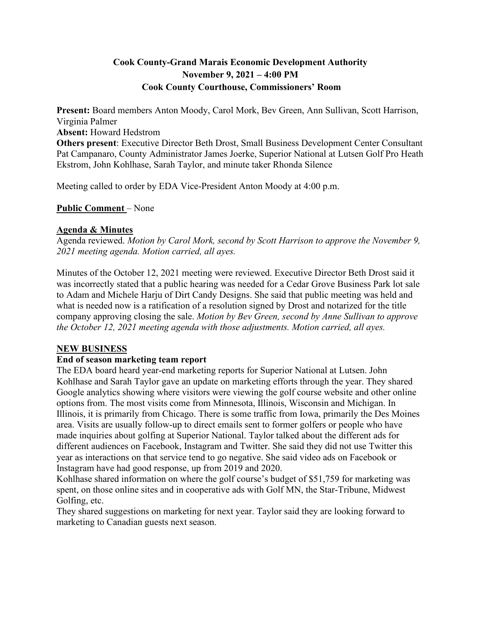# **Cook County-Grand Marais Economic Development Authority November 9, 2021 – 4:00 PM Cook County Courthouse, Commissioners' Room**

**Present:** Board members Anton Moody, Carol Mork, Bev Green, Ann Sullivan, Scott Harrison, Virginia Palmer **Absent:** Howard Hedstrom **Others present**: Executive Director Beth Drost, Small Business Development Center Consultant Pat Campanaro, County Administrator James Joerke, Superior National at Lutsen Golf Pro Heath Ekstrom, John Kohlhase, Sarah Taylor, and minute taker Rhonda Silence

Meeting called to order by EDA Vice-President Anton Moody at 4:00 p.m.

**Public Comment** – None

#### **Agenda & Minutes**

Agenda reviewed. *Motion by Carol Mork, second by Scott Harrison to approve the November 9, 2021 meeting agenda. Motion carried, all ayes.* 

Minutes of the October 12, 2021 meeting were reviewed. Executive Director Beth Drost said it was incorrectly stated that a public hearing was needed for a Cedar Grove Business Park lot sale to Adam and Michele Harju of Dirt Candy Designs. She said that public meeting was held and what is needed now is a ratification of a resolution signed by Drost and notarized for the title company approving closing the sale. *Motion by Bev Green, second by Anne Sullivan to approve the October 12, 2021 meeting agenda with those adjustments. Motion carried, all ayes.* 

## **NEW BUSINESS**

## **End of season marketing team report**

The EDA board heard year-end marketing reports for Superior National at Lutsen. John Kohlhase and Sarah Taylor gave an update on marketing efforts through the year. They shared Google analytics showing where visitors were viewing the golf course website and other online options from. The most visits come from Minnesota, Illinois, Wisconsin and Michigan. In Illinois, it is primarily from Chicago. There is some traffic from Iowa, primarily the Des Moines area. Visits are usually follow-up to direct emails sent to former golfers or people who have made inquiries about golfing at Superior National. Taylor talked about the different ads for different audiences on Facebook, Instagram and Twitter. She said they did not use Twitter this year as interactions on that service tend to go negative. She said video ads on Facebook or Instagram have had good response, up from 2019 and 2020.

Kohlhase shared information on where the golf course's budget of \$51,759 for marketing was spent, on those online sites and in cooperative ads with Golf MN, the Star-Tribune, Midwest Golfing, etc.

They shared suggestions on marketing for next year. Taylor said they are looking forward to marketing to Canadian guests next season.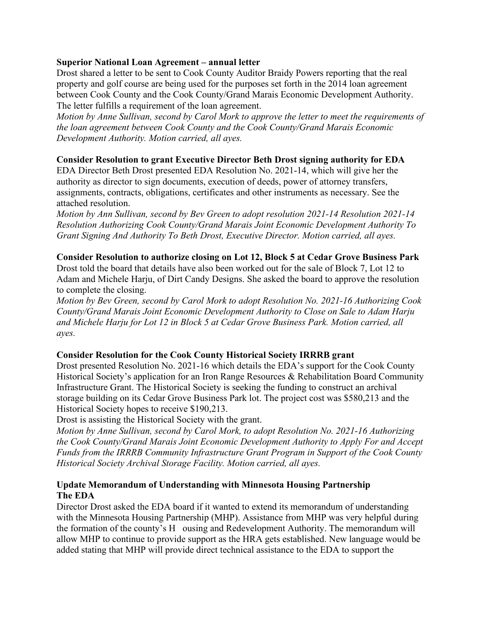#### **Superior National Loan Agreement – annual letter**

Drost shared a letter to be sent to Cook County Auditor Braidy Powers reporting that the real property and golf course are being used for the purposes set forth in the 2014 loan agreement between Cook County and the Cook County/Grand Marais Economic Development Authority. The letter fulfills a requirement of the loan agreement.

*Motion by Anne Sullivan, second by Carol Mork to approve the letter to meet the requirements of the loan agreement between Cook County and the Cook County/Grand Marais Economic Development Authority. Motion carried, all ayes.* 

## **Consider Resolution to grant Executive Director Beth Drost signing authority for EDA**

EDA Director Beth Drost presented EDA Resolution No. 2021-14, which will give her the authority as director to sign documents, execution of deeds, power of attorney transfers, assignments, contracts, obligations, certificates and other instruments as necessary. See the attached resolution.

*Motion by Ann Sullivan, second by Bev Green to adopt resolution 2021-14 Resolution 2021-14 Resolution Authorizing Cook County/Grand Marais Joint Economic Development Authority To Grant Signing And Authority To Beth Drost, Executive Director. Motion carried, all ayes.*

## **Consider Resolution to authorize closing on Lot 12, Block 5 at Cedar Grove Business Park**

Drost told the board that details have also been worked out for the sale of Block 7, Lot 12 to Adam and Michele Harju, of Dirt Candy Designs. She asked the board to approve the resolution to complete the closing.

*Motion by Bev Green, second by Carol Mork to adopt Resolution No. 2021-16 Authorizing Cook County/Grand Marais Joint Economic Development Authority to Close on Sale to Adam Harju and Michele Harju for Lot 12 in Block 5 at Cedar Grove Business Park. Motion carried, all ayes.* 

## **Consider Resolution for the Cook County Historical Society IRRRB grant**

Drost presented Resolution No. 2021-16 which details the EDA's support for the Cook County Historical Society's application for an Iron Range Resources & Rehabilitation Board Community Infrastructure Grant. The Historical Society is seeking the funding to construct an archival storage building on its Cedar Grove Business Park lot. The project cost was \$580,213 and the Historical Society hopes to receive \$190,213.

Drost is assisting the Historical Society with the grant.

*Motion by Anne Sullivan, second by Carol Mork, to adopt Resolution No. 2021-16 Authorizing the Cook County/Grand Marais Joint Economic Development Authority to Apply For and Accept Funds from the IRRRB Community Infrastructure Grant Program in Support of the Cook County Historical Society Archival Storage Facility. Motion carried, all ayes.* 

## **Update Memorandum of Understanding with Minnesota Housing Partnership The EDA**

Director Drost asked the EDA board if it wanted to extend its memorandum of understanding with the Minnesota Housing Partnership (MHP). Assistance from MHP was very helpful during the formation of the county's H ousing and Redevelopment Authority. The memorandum will allow MHP to continue to provide support as the HRA gets established. New language would be added stating that MHP will provide direct technical assistance to the EDA to support the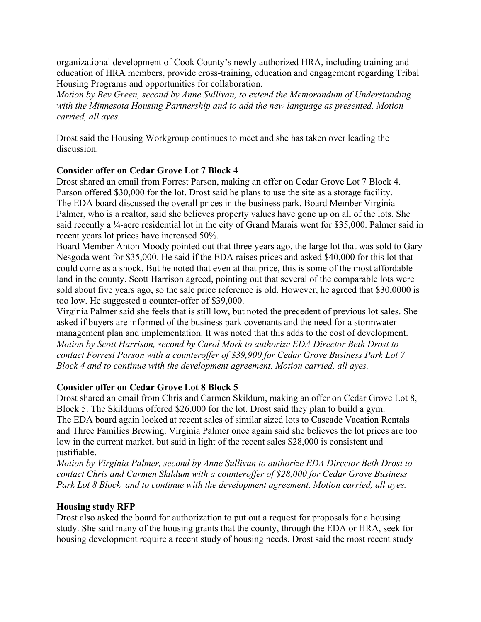organizational development of Cook County's newly authorized HRA, including training and education of HRA members, provide cross-training, education and engagement regarding Tribal Housing Programs and opportunities for collaboration.

*Motion by Bev Green, second by Anne Sullivan, to extend the Memorandum of Understanding with the Minnesota Housing Partnership and to add the new language as presented. Motion carried, all ayes.*

Drost said the Housing Workgroup continues to meet and she has taken over leading the discussion.

## **Consider offer on Cedar Grove Lot 7 Block 4**

Drost shared an email from Forrest Parson, making an offer on Cedar Grove Lot 7 Block 4. Parson offered \$30,000 for the lot. Drost said he plans to use the site as a storage facility. The EDA board discussed the overall prices in the business park. Board Member Virginia Palmer, who is a realtor, said she believes property values have gone up on all of the lots. She said recently a ¼-acre residential lot in the city of Grand Marais went for \$35,000. Palmer said in recent years lot prices have increased 50%.

Board Member Anton Moody pointed out that three years ago, the large lot that was sold to Gary Nesgoda went for \$35,000. He said if the EDA raises prices and asked \$40,000 for this lot that could come as a shock. But he noted that even at that price, this is some of the most affordable land in the county. Scott Harrison agreed, pointing out that several of the comparable lots were sold about five years ago, so the sale price reference is old. However, he agreed that \$30,0000 is too low. He suggested a counter-offer of \$39,000.

Virginia Palmer said she feels that is still low, but noted the precedent of previous lot sales. She asked if buyers are informed of the business park covenants and the need for a stormwater management plan and implementation. It was noted that this adds to the cost of development. *Motion by Scott Harrison, second by Carol Mork to authorize EDA Director Beth Drost to contact Forrest Parson with a counteroffer of \$39,900 for Cedar Grove Business Park Lot 7 Block 4 and to continue with the development agreement. Motion carried, all ayes.* 

## **Consider offer on Cedar Grove Lot 8 Block 5**

Drost shared an email from Chris and Carmen Skildum, making an offer on Cedar Grove Lot 8, Block 5. The Skildums offered \$26,000 for the lot. Drost said they plan to build a gym. The EDA board again looked at recent sales of similar sized lots to Cascade Vacation Rentals and Three Families Brewing. Virginia Palmer once again said she believes the lot prices are too low in the current market, but said in light of the recent sales \$28,000 is consistent and justifiable.

*Motion by Virginia Palmer, second by Anne Sullivan to authorize EDA Director Beth Drost to contact Chris and Carmen Skildum with a counteroffer of \$28,000 for Cedar Grove Business Park Lot 8 Block and to continue with the development agreement. Motion carried, all ayes.* 

## **Housing study RFP**

Drost also asked the board for authorization to put out a request for proposals for a housing study. She said many of the housing grants that the county, through the EDA or HRA, seek for housing development require a recent study of housing needs. Drost said the most recent study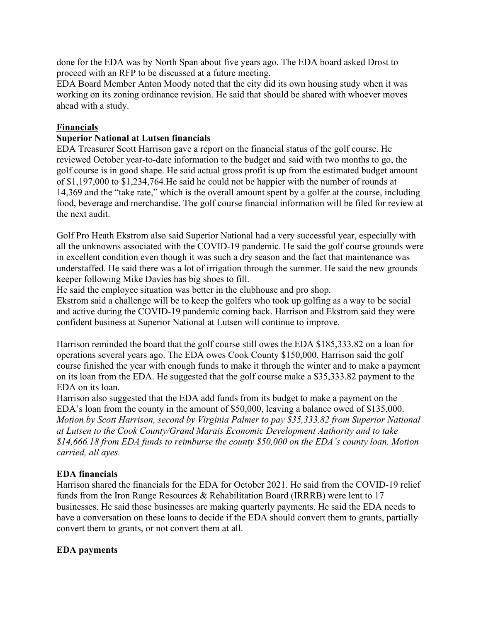done for the EDA was by North Span about five years ago. The EDA board asked Drost to proceed with an RFP to be discussed at a future meeting.

EDA Board Member Anton Moody noted that the city did its own housing study when it was working on its zoning ordinance revision. He said that should be shared with whoever moves ahead with a study.

## **Financials**

## **Superior National at Lutsen financials**

EDA Treasurer Scott Harrison gave a report on the financial status of the golf course. He reviewed October year-to-date information to the budget and said with two months to go, the golf course is in good shape. He said actual gross profit is up from the estimated budget amount of \$1,197,000 to \$1,234,764.He said he could not be happier with the number of rounds at 14,369 and the "take rate," which is the overall amount spent by a golfer at the course, including food, beverage and merchandise. The golf course financial information will be filed for review at the next audit.

Golf Pro Heath Ekstrom also said Superior National had a very successful year, especially with all the unknowns associated with the COVID-19 pandemic. He said the golf course grounds were in excellent condition even though it was such a dry season and the fact that maintenance was understaffed. He said there was a lot of irrigation through the summer. He said the new grounds keeper following Mike Davies has big shoes to fill.

He said the employee situation was better in the clubhouse and pro shop.

Ekstrom said a challenge will be to keep the golfers who took up golfing as a way to be social and active during the COVID-19 pandemic coming back. Harrison and Ekstrom said they were confident business at Superior National at Lutsen will continue to improve.

Harrison reminded the board that the golf course still owes the EDA \$185,333.82 on a loan for operations several years ago. The EDA owes Cook County \$150,000. Harrison said the golf course finished the year with enough funds to make it through the winter and to make a payment on its loan from the EDA. He suggested that the golf course make a \$35,333.82 payment to the EDA on its loan.

Harrison also suggested that the EDA add funds from its budget to make a payment on the EDA's loan from the county in the amount of \$50,000, leaving a balance owed of \$135,000. *Motion by Scott Harrison, second by Virginia Palmer to pay \$35,333.82 from Superior National at Lutsen to the Cook County/Grand Marais Economic Development Authority and to take \$14,666.18 from EDA funds to reimburse the county \$50,000 on the EDA's county loan. Motion carried, all ayes.*

## **EDA financials**

Harrison shared the financials for the EDA for October 2021. He said from the COVID-19 relief funds from the Iron Range Resources & Rehabilitation Board (IRRRB) were lent to 17 businesses. He said those businesses are making quarterly payments. He said the EDA needs to have a conversation on these loans to decide if the EDA should convert them to grants, partially convert them to grants, or not convert them at all.

## **EDA payments**